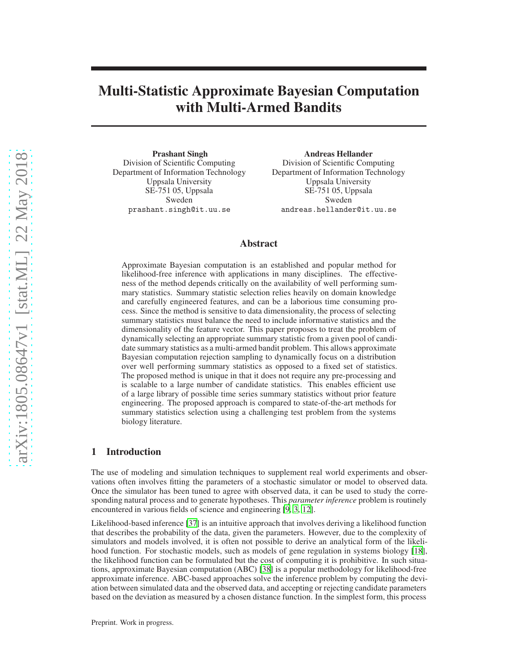# Multi-Statistic Approximate Bayesian Computation with Multi-Armed Bandits

Prashant Singh Division of Scientific Computing Department of Information Technology Uppsala University SE-751 05, Uppsala Sweden prashant.singh@it.uu.se

Andreas Hellander Division of Scientific Computing Department of Information Technology Uppsala University SE-751 05, Uppsala Sweden andreas.hellander@it.uu.se

# Abstract

Approximate Bayesian computation is an established and popular method for likelihood-free inference with applications in many disciplines. The effectiveness of the method depends critically on the availability of well performing summary statistics. Summary statistic selection relies heavily on domain knowledge and carefully engineered features, and can be a laborious time consuming process. Since the method is sensitive to data dimensionality, the process of selecting summary statistics must balance the need to include informative statistics and the dimensionality of the feature vector. This paper proposes to treat the problem of dynamically selecting an appropriate summary statistic from a given pool of candidate summary statistics as a multi-armed bandit problem. This allows approximate Bayesian computation rejection sampling to dynamically focus on a distribution over well performing summary statistics as opposed to a fixed set of statistics. The proposed method is unique in that it does not require any pre-processing and is scalable to a large number of candidate statistics. This enables efficient use of a large library of possible time series summary statistics without prior feature engineering. The proposed approach is compared to state-of-the-art methods for summary statistics selection using a challenging test problem from the systems biology literature.

# 1 Introduction

The use of modeling and simulation techniques to supplement real world experiments and observations often involves fitting the parameters of a stochastic simulator or model to observed data. Once the simulator has been tuned to agree with observed data, it can be used to study the corresponding natural process and to generate hypotheses. This *parameter inference* problem is routinely encountered in various fields of science and engineering [\[9](#page-8-0), [3](#page-8-1), [12](#page-8-2)].

Likelihood-based inference [\[37\]](#page-10-0) is an intuitive approach that involves deriving a likelihood function that describes the probability of the data, given the parameters. However, due to the complexity of simulators and models involved, it is often not possible to derive an analytical form of the likelihood function. For stochastic models, such as models of gene regulation in systems biology [\[18\]](#page-9-0), the likelihood function can be formulated but the cost of computing it is prohibitive. In such situations, approximate Bayesian computation (ABC) [\[38\]](#page-10-1) is a popular methodology for likelihood-free approximate inference. ABC-based approaches solve the inference problem by computing the deviation between simulated data and the observed data, and accepting or rejecting candidate parameters based on the deviation as measured by a chosen distance function. In the simplest form, this process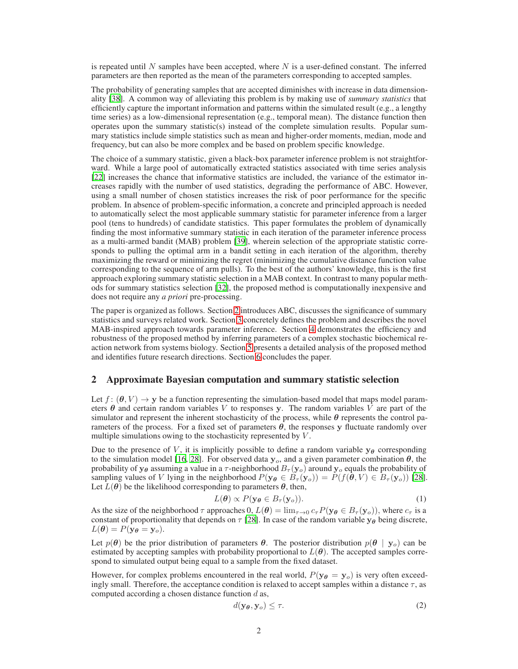is repeated until N samples have been accepted, where  $N$  is a user-defined constant. The inferred parameters are then reported as the mean of the parameters corresponding to accepted samples.

The probability of generating samples that are accepted diminishes with increase in data dimensionality [\[38\]](#page-10-1). A common way of alleviating this problem is by making use of *summary statistics* that efficiently capture the important information and patterns within the simulated result (e.g., a lengthy time series) as a low-dimensional representation (e.g., temporal mean). The distance function then operates upon the summary statistic(s) instead of the complete simulation results. Popular summary statistics include simple statistics such as mean and higher-order moments, median, mode and frequency, but can also be more complex and be based on problem specific knowledge.

The choice of a summary statistic, given a black-box parameter inference problem is not straightforward. While a large pool of automatically extracted statistics associated with time series analysis [\[22](#page-9-1)] increases the chance that informative statistics are included, the variance of the estimator increases rapidly with the number of used statistics, degrading the performance of ABC. However, using a small number of chosen statistics increases the risk of poor performance for the specific problem. In absence of problem-specific information, a concrete and principled approach is needed to automatically select the most applicable summary statistic for parameter inference from a larger pool (tens to hundreds) of candidate statistics. This paper formulates the problem of dynamically finding the most informative summary statistic in each iteration of the parameter inference process as a multi-armed bandit (MAB) problem [\[39\]](#page-10-2), wherein selection of the appropriate statistic corresponds to pulling the optimal arm in a bandit setting in each iteration of the algorithm, thereby maximizing the reward or minimizing the regret (minimizing the cumulative distance function value corresponding to the sequence of arm pulls). To the best of the authors' knowledge, this is the first approach exploring summary statistic selection in a MAB context. In contrast to many popular methods for summary statistics selection [\[32](#page-9-2)], the proposed method is computationally inexpensive and does not require any *a priori* pre-processing.

The paper is organized as follows. Section [2](#page-1-0) introduces ABC, discusses the significance of summary statistics and surveys related work. Section [3](#page-3-0) concretely defines the problem and describes the novel MAB-inspired approach towards parameter inference. Section [4](#page-5-0) demonstrates the efficiency and robustness of the proposed method by inferring parameters of a complex stochastic biochemical reaction network from systems biology. Section [5](#page-7-0) presents a detailed analysis of the proposed method and identifies future research directions. Section [6](#page-7-1) concludes the paper.

#### <span id="page-1-0"></span>2 Approximate Bayesian computation and summary statistic selection

Let  $f: (\theta, V) \to \mathbf{y}$  be a function representing the simulation-based model that maps model parameters  $\theta$  and certain random variables V to responses y. The random variables V are part of the simulator and represent the inherent stochasticity of the process, while  $\theta$  represents the control parameters of the process. For a fixed set of parameters  $\theta$ , the responses y fluctuate randomly over multiple simulations owing to the stochasticity represented by  $V$ .

Due to the presence of V, it is implicitly possible to define a random variable  $y_\theta$  corresponding to the simulation model [\[16,](#page-8-3) [28](#page-9-3)]. For observed data  $y<sub>o</sub>$ , and a given parameter combination  $\theta$ , the probability of  $y_\theta$  assuming a value in a  $\tau$ -neighborhood  $B_\tau(y_o)$  around  $y_o$  equals the probability of sampling values of V lying in the neighborhood  $P(\mathbf{y}_{\theta} \in B_{\tau}(\mathbf{y}_{o})) = P(f(\theta, V) \in B_{\tau}(\mathbf{y}_{o}))$  [\[28\]](#page-9-3). Let  $L(\theta)$  be the likelihood corresponding to parameters  $\theta$ , then,

<span id="page-1-2"></span>
$$
L(\boldsymbol{\theta}) \propto P(\mathbf{y}_{\boldsymbol{\theta}} \in B_{\tau}(\mathbf{y}_o)).
$$
 (1)

As the size of the neighborhood  $\tau$  approaches 0,  $L(\theta) = \lim_{\tau \to 0} c_{\tau} P(\mathbf{y}_{\theta} \in B_{\tau}(\mathbf{y}_{o}))$ , where  $c_{\tau}$  is a constant of proportionality that depends on  $\tau$  [\[28\]](#page-9-3). In case of the random variable  $y_\theta$  being discrete,  $L(\boldsymbol{\theta}) = P(\mathbf{y}_{\boldsymbol{\theta}} = \mathbf{y}_o).$ 

Let  $p(\theta)$  be the prior distribution of parameters  $\theta$ . The posterior distribution  $p(\theta | y_o)$  can be estimated by accepting samples with probability proportional to  $L(\theta)$ . The accepted samples correspond to simulated output being equal to a sample from the fixed dataset.

However, for complex problems encountered in the real world,  $P(y_{\theta} = y_o)$  is very often exceedingly small. Therefore, the acceptance condition is relaxed to accept samples within a distance  $\tau$ , as computed according a chosen distance function  $d$  as,

<span id="page-1-1"></span>
$$
d(\mathbf{y}_{\boldsymbol{\theta}}, \mathbf{y}_o) \le \tau. \tag{2}
$$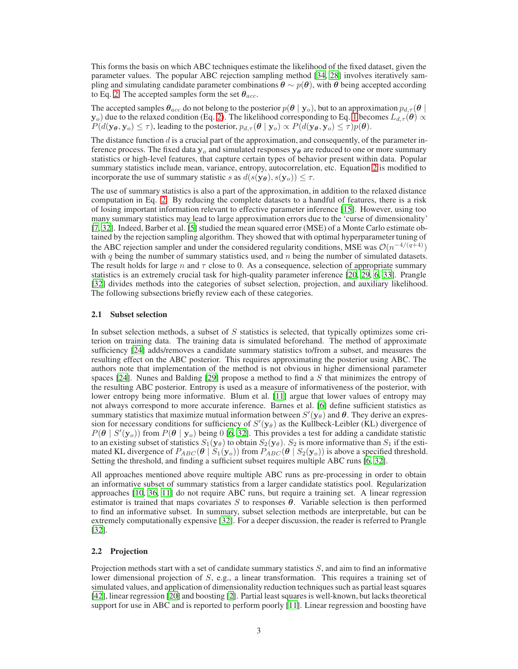This forms the basis on which ABC techniques estimate the likelihood of the fixed dataset, given the parameter values. The popular ABC rejection sampling method [\[34,](#page-9-4) [28](#page-9-3)] involves iteratively sampling and simulating candidate parameter combinations  $\theta \sim p(\theta)$ , with  $\theta$  being accepted according to Eq. [2.](#page-1-1) The accepted samples form the set  $\theta_{acc}$ .

The accepted samples  $\theta_{acc}$  do not belong to the posterior  $p(\theta | y_o)$ , but to an approximation  $p_{d,\tau}(\theta | \theta)$  $y_o$ ) due to the relaxed condition (Eq. [2\)](#page-1-1). The likelihood corresponding to Eq. [1](#page-1-2) becomes  $L_{d,\tau}(\theta) \propto$  $P(d(\mathbf{y}_{\boldsymbol{\theta}}, \mathbf{y}_{o}) \leq \tau)$ , leading to the posterior,  $p_{d,\tau}(\boldsymbol{\theta} \mid \mathbf{y}_{o}) \propto P(d(\mathbf{y}_{\boldsymbol{\theta}}, \mathbf{y}_{o}) \leq \tau)p(\boldsymbol{\theta})$ .

The distance function  $d$  is a crucial part of the approximation, and consequently, of the parameter inference process. The fixed data  $y_0$  and simulated responses  $y_\theta$  are reduced to one or more summary statistics or high-level features, that capture certain types of behavior present within data. Popular summary statistics include mean, variance, entropy, autocorrelation, etc. Equation [2](#page-1-1) is modified to incorporate the use of summary statistic s as  $d(s(\mathbf{y}_{\theta}), s(\mathbf{y}_{o})) \leq \tau$ .

The use of summary statistics is also a part of the approximation, in addition to the relaxed distance computation in Eq. [2.](#page-1-1) By reducing the complete datasets to a handful of features, there is a risk of losing important information relevant to effective parameter inference [\[15\]](#page-8-4). However, using too many summary statistics may lead to large approximation errors due to the 'curse of dimensionality' [\[7](#page-8-5), [32\]](#page-9-2). Indeed, Barber et al. [\[5\]](#page-8-6) studied the mean squared error (MSE) of a Monte Carlo estimate obtained by the rejection sampling algorithm. They showed that with optimal hyperparameter tuning of the ABC rejection sampler and under the considered regularity conditions, MSE was  $\mathcal{O}(n^{-4/(q+4)})$ with q being the number of summary statistics used, and  $n$  being the number of simulated datasets. The result holds for large n and  $\tau$  close to 0. As a consequence, selection of appropriate summary statistics is an extremely crucial task for high-quality parameter inference [\[20,](#page-9-5) [29](#page-9-6), [6,](#page-8-7) [33](#page-9-7)]. Prangle [\[32](#page-9-2)] divides methods into the categories of subset selection, projection, and auxiliary likelihood. The following subsections briefly review each of these categories.

#### 2.1 Subset selection

In subset selection methods, a subset of  $S$  statistics is selected, that typically optimizes some criterion on training data. The training data is simulated beforehand. The method of approximate sufficiency [\[24](#page-9-8)] adds/removes a candidate summary statistics to/from a subset, and measures the resulting effect on the ABC posterior. This requires approximating the posterior using ABC. The authors note that implementation of the method is not obvious in higher dimensional parameter spaces [\[24\]](#page-9-8). Nunes and Balding [\[29](#page-9-6)] propose a method to find a S that minimizes the entropy of the resulting ABC posterior. Entropy is used as a measure of informativeness of the posterior, with lower entropy being more informative. Blum et al. [\[11\]](#page-8-8) argue that lower values of entropy may not always correspond to more accurate inference. Barnes et al. [\[6](#page-8-7)] define sufficient statistics as summary statistics that maximize mutual information between  $S'(\mathbf{y}_{\theta})$  and  $\theta$ . They derive an expression for necessary conditions for sufficiency of  $S'(y_\theta)$  as the Kullbeck-Leibler (KL) divergence of  $P(\theta \mid S'(\mathbf{y}_o))$  from  $P(\theta \mid \mathbf{y}_o)$  being 0 [\[6,](#page-8-7) [32\]](#page-9-2). This provides a test for adding a candidate statistic to an existing subset of statistics  $S_1(y_\theta)$  to obtain  $S_2(y_\theta)$ .  $S_2$  is more informative than  $S_1$  if the estimated KL divergence of  $P_{ABC}(\theta | S_1(\mathbf{y}_o))$  from  $P_{ABC}(\theta | S_2(\mathbf{y}_o))$  is above a specified threshold. Setting the threshold, and finding a sufficient subset requires multiple ABC runs [\[6,](#page-8-7) [32\]](#page-9-2).

All approaches mentioned above require multiple ABC runs as pre-processing in order to obtain an informative subset of summary statistics from a larger candidate statistics pool. Regularization approaches [\[10,](#page-8-9) [36,](#page-10-3) [11](#page-8-8)] do not require ABC runs, but require a training set. A linear regression estimator is trained that maps covariates  $S$  to responses  $\theta$ . Variable selection is then performed to find an informative subset. In summary, subset selection methods are interpretable, but can be extremely computationally expensive [\[32](#page-9-2)]. For a deeper discussion, the reader is referred to Prangle [\[32](#page-9-2)].

#### 2.2 Projection

Projection methods start with a set of candidate summary statistics  $S$ , and aim to find an informative lower dimensional projection of S, e.g., a linear transformation. This requires a training set of simulated values, and application of dimensionality reduction techniques such as partial least squares [\[42](#page-10-4)], linear regression [\[20\]](#page-9-5) and boosting [\[2\]](#page-8-10). Partial least squares is well-known, but lacks theoretical support for use in ABC and is reported to perform poorly [\[11](#page-8-8)]. Linear regression and boosting have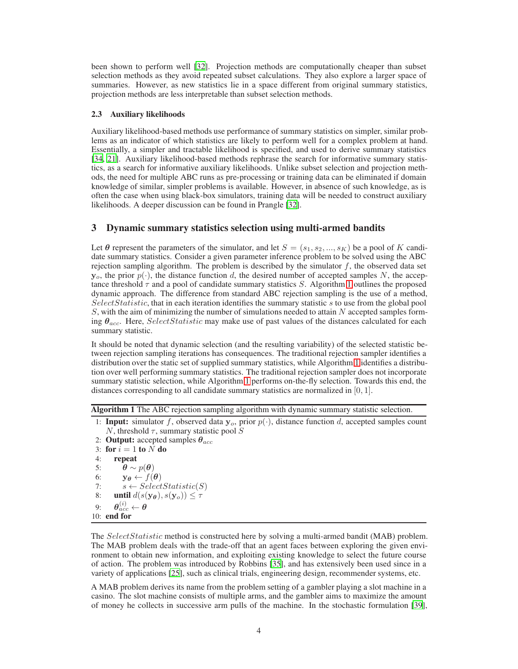been shown to perform well [\[32\]](#page-9-2). Projection methods are computationally cheaper than subset selection methods as they avoid repeated subset calculations. They also explore a larger space of summaries. However, as new statistics lie in a space different from original summary statistics, projection methods are less interpretable than subset selection methods.

#### 2.3 Auxiliary likelihoods

Auxiliary likelihood-based methods use performance of summary statistics on simpler, similar problems as an indicator of which statistics are likely to perform well for a complex problem at hand. Essentially, a simpler and tractable likelihood is specified, and used to derive summary statistics [\[34](#page-9-4), [21](#page-9-9)]. Auxiliary likelihood-based methods rephrase the search for informative summary statistics, as a search for informative auxiliary likelihoods. Unlike subset selection and projection methods, the need for multiple ABC runs as pre-processing or training data can be eliminated if domain knowledge of similar, simpler problems is available. However, in absence of such knowledge, as is often the case when using black-box simulators, training data will be needed to construct auxiliary likelihoods. A deeper discussion can be found in Prangle [\[32\]](#page-9-2).

# <span id="page-3-0"></span>3 Dynamic summary statistics selection using multi-armed bandits

Let  $\theta$  represent the parameters of the simulator, and let  $S = (s_1, s_2, ..., s_K)$  be a pool of K candidate summary statistics. Consider a given parameter inference problem to be solved using the ABC rejection sampling algorithm. The problem is described by the simulator  $f$ , the observed data set  $y_o$ , the prior  $p(.)$ , the distance function d, the desired number of accepted samples N, the acceptance threshold  $\tau$  and a pool of candidate summary statistics S. Algorithm [1](#page-3-1) outlines the proposed dynamic approach. The difference from standard ABC rejection sampling is the use of a method,  $SelectStatic$ , that in each iteration identifies the summary statistic s to use from the global pool  $S$ , with the aim of minimizing the number of simulations needed to attain  $N$  accepted samples forming  $\theta_{acc}$ . Here, SelectStatistic may make use of past values of the distances calculated for each summary statistic.

It should be noted that dynamic selection (and the resulting variability) of the selected statistic between rejection sampling iterations has consequences. The traditional rejection sampler identifies a distribution over the static set of supplied summary statistics, while Algorithm [1](#page-3-1) identifies a distribution over well performing summary statistics. The traditional rejection sampler does not incorporate summary statistic selection, while Algorithm [1](#page-3-1) performs on-the-fly selection. Towards this end, the distances corresponding to all candidate summary statistics are normalized in [0, 1].

<span id="page-3-1"></span>Algorithm 1 The ABC rejection sampling algorithm with dynamic summary statistic selection.

- 1: **Input:** simulator f, observed data  $y_o$ , prior  $p(\cdot)$ , distance function d, accepted samples count N, threshold  $\tau$ , summary statistic pool S
- 2: **Output:** accepted samples  $\theta_{acc}$

```
3: for i = 1 to N do
4: repeat
5: \theta \sim p(\theta)6: y_{\theta} \leftarrow f(\theta)7: s \leftarrow SelectStatic(S)8: until d(s(\mathbf{y}_{\theta}), s(\mathbf{y}_{o})) \leq \tau9: \bm{\theta}_{acc}^{(i)} \leftarrow \bm{\theta}10: end for
```
The SelectStatistic method is constructed here by solving a multi-armed bandit (MAB) problem. The MAB problem deals with the trade-off that an agent faces between exploring the given environment to obtain new information, and exploiting existing knowledge to select the future course of action. The problem was introduced by Robbins [\[35\]](#page-9-10), and has extensively been used since in a variety of applications [\[25\]](#page-9-11), such as clinical trials, engineering design, recommender systems, etc.

A MAB problem derives its name from the problem setting of a gambler playing a slot machine in a casino. The slot machine consists of multiple arms, and the gambler aims to maximize the amount of money he collects in successive arm pulls of the machine. In the stochastic formulation [\[39\]](#page-10-2),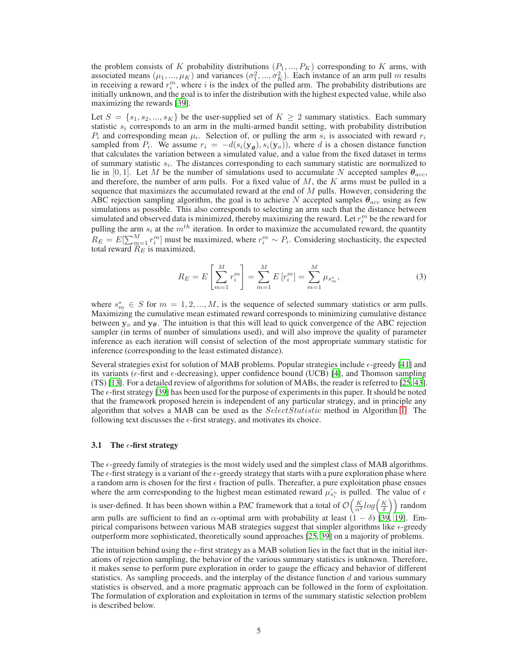the problem consists of K probability distributions  $(P_1, ..., P_K)$  corresponding to K arms, with associated means  $(\mu_1, ..., \mu_K)$  and variances  $(\sigma_1^2, ..., \sigma_K^2)$ . Each instance of an arm pull m results in receiving a reward  $r_i^m$ , where i is the index of the pulled arm. The probability distributions are initially unknown, and the goal is to infer the distribution with the highest expected value, while also maximizing the rewards [\[39\]](#page-10-2).

Let  $S = \{s_1, s_2, ..., s_K\}$  be the user-supplied set of  $K \geq 2$  summary statistics. Each summary statistic  $s_i$  corresponds to an arm in the multi-armed bandit setting, with probability distribution  $P_i$  and corresponding mean  $\mu_i$ . Selection of, or pulling the arm  $s_i$  is associated with reward  $r_i$ sampled from  $P_i$ . We assume  $r_i = -d(s_i(\mathbf{y}_{\theta}), s_i(\mathbf{y}_{o}))$ , where d is a chosen distance function that calculates the variation between a simulated value, and a value from the fixed dataset in terms of summary statistic  $s_i$ . The distances corresponding to each summary statistic are normalized to lie in [0, 1]. Let M be the number of simulations used to accumulate N accepted samples  $\theta_{acc}$ , and therefore, the number of arm pulls. For a fixed value of  $M$ , the  $K$  arms must be pulled in a sequence that maximizes the accumulated reward at the end of  $M$  pulls. However, considering the ABC rejection sampling algorithm, the goal is to achieve N accepted samples  $\theta_{acc}$  using as few simulations as possible. This also corresponds to selecting an arm such that the distance between simulated and observed data is minimized, thereby maximizing the reward. Let  $r_i^m$  be the reward for pulling the arm  $s_i$  at the  $m<sup>th</sup>$  iteration. In order to maximize the accumulated reward, the quantity  $R_E = E[\sum_{m=1}^M r_i^m]$  must be maximized, where  $r_i^m \sim P_i$ . Considering stochasticity, the expected total reward  $R_E$  is maximized,

$$
R_E = E\left[\sum_{m=1}^{M} r_i^m\right] = \sum_{m=1}^{M} E\left[r_i^m\right] = \sum_{m=1}^{M} \mu_{s_m^*},\tag{3}
$$

where  $s_m^* \in S$  for  $m = 1, 2, ..., M$ , is the sequence of selected summary statistics or arm pulls. Maximizing the cumulative mean estimated reward corresponds to minimizing cumulative distance between  $y_0$  and  $y_\theta$ . The intuition is that this will lead to quick convergence of the ABC rejection sampler (in terms of number of simulations used), and will also improve the quality of parameter inference as each iteration will consist of selection of the most appropriate summary statistic for inference (corresponding to the least estimated distance).

Several strategies exist for solution of MAB problems. Popular strategies include  $\epsilon$ -greedy [\[41\]](#page-10-5) and its variants ( $\epsilon$ -first and  $\epsilon$ -decreasing), upper confidence bound (UCB) [\[4\]](#page-8-11), and Thomson sampling (TS) [\[13](#page-8-12)]. For a detailed review of algorithms for solution of MABs, the reader is referred to [\[25,](#page-9-11) [43\]](#page-10-6). The  $\epsilon$ -first strategy [\[39\]](#page-10-2) has been used for the purpose of experiments in this paper. It should be noted that the framework proposed herein is independent of any particular strategy, and in principle any algorithm that solves a MAB can be used as the SelectStatistic method in Algorithm [1.](#page-3-1) The following text discusses the  $\epsilon$ -first strategy, and motivates its choice.

#### 3.1 The  $\epsilon$ -first strategy

The  $\epsilon$ -greedy family of strategies is the most widely used and the simplest class of MAB algorithms. The  $\epsilon$ -first strategy is a variant of the  $\epsilon$ -greedy strategy that starts with a pure exploration phase where a random arm is chosen for the first  $\epsilon$  fraction of pulls. Thereafter, a pure exploitation phase ensues where the arm corresponding to the highest mean estimated reward  $\hat{\mu}_{s_i}^{\dagger}$  is pulled. The value of  $\epsilon$ is user-defined. It has been shown within a PAC framework that a total of  $\mathcal{O}\left(\frac{K}{\alpha^2}log\left(\frac{K}{\delta}\right)\right)$  random arm pulls are sufficient to find an  $\alpha$ -optimal arm with probability at least  $(1 - \delta)$  [\[39,](#page-10-2) [19\]](#page-9-12). Empirical comparisons between various MAB strategies suggest that simpler algorithms like  $\epsilon$ -greedy outperform more sophisticated, theoretically sound approaches [\[25,](#page-9-11) [39\]](#page-10-2) on a majority of problems.

The intuition behind using the  $\epsilon$ -first strategy as a MAB solution lies in the fact that in the initial iterations of rejection sampling, the behavior of the various summary statistics is unknown. Therefore, it makes sense to perform pure exploration in order to gauge the efficacy and behavior of different statistics. As sampling proceeds, and the interplay of the distance function  $d$  and various summary statistics is observed, and a more pragmatic approach can be followed in the form of exploitation. The formulation of exploration and exploitation in terms of the summary statistic selection problem is described below.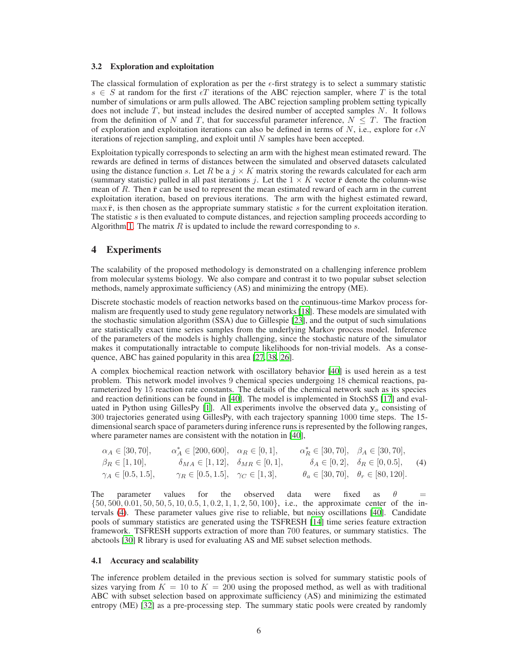#### 3.2 Exploration and exploitation

The classical formulation of exploration as per the  $\epsilon$ -first strategy is to select a summary statistic  $s \in S$  at random for the first  $\epsilon T$  iterations of the ABC rejection sampler, where T is the total number of simulations or arm pulls allowed. The ABC rejection sampling problem setting typically does not include  $T$ , but instead includes the desired number of accepted samples  $N$ . It follows from the definition of N and T, that for successful parameter inference,  $N \leq T$ . The fraction of exploration and exploitation iterations can also be defined in terms of N, i.e., explore for  $\epsilon N$ iterations of rejection sampling, and exploit until  $N$  samples have been accepted.

Exploitation typically corresponds to selecting an arm with the highest mean estimated reward. The rewards are defined in terms of distances between the simulated and observed datasets calculated using the distance function s. Let R be a  $j \times K$  matrix storing the rewards calculated for each arm (summary statistic) pulled in all past iterations j. Let the  $1 \times K$  vector  $\bar{r}$  denote the column-wise mean of  $R$ . Then  $\bar{r}$  can be used to represent the mean estimated reward of each arm in the current exploitation iteration, based on previous iterations. The arm with the highest estimated reward,  $\max$ **F**, is then chosen as the appropriate summary statistic s for the current exploitation iteration. The statistic  $s$  is then evaluated to compute distances, and rejection sampling proceeds according to Algorithm [1.](#page-3-1) The matrix  $R$  is updated to include the reward corresponding to  $s$ .

### <span id="page-5-0"></span>4 Experiments

The scalability of the proposed methodology is demonstrated on a challenging inference problem from molecular systems biology. We also compare and contrast it to two popular subset selection methods, namely approximate sufficiency (AS) and minimizing the entropy (ME).

Discrete stochastic models of reaction networks based on the continuous-time Markov process formalism are frequently used to study gene regulatory networks [\[18\]](#page-9-0). These models are simulated with the stochastic simulation algorithm (SSA) due to Gillespie [\[23\]](#page-9-13), and the output of such simulations are statistically exact time series samples from the underlying Markov process model. Inference of the parameters of the models is highly challenging, since the stochastic nature of the simulator makes it computationally intractable to compute likelihoods for non-trivial models. As a consequence, ABC has gained popularity in this area [\[27,](#page-9-14) [38,](#page-10-1) [26\]](#page-9-15).

A complex biochemical reaction network with oscillatory behavior [\[40](#page-10-7)] is used herein as a test problem. This network model involves 9 chemical species undergoing 18 chemical reactions, parameterized by 15 reaction rate constants. The details of the chemical network such as its species and reaction definitions can be found in [\[40](#page-10-7)]. The model is implemented in StochSS [\[17](#page-8-13)] and eval-uated in Python using GillesPy [\[1](#page-8-14)]. All experiments involve the observed data  $y<sub>o</sub>$  consisting of 300 trajectories generated using GillesPy, with each trajectory spanning 1000 time steps. The 15 dimensional search space of parameters during inference runs is represented by the following ranges, where parameter names are consistent with the notation in [\[40](#page-10-7)],

<span id="page-5-1"></span>
$$
\alpha_A \in [30, 70], \qquad \alpha_A^* \in [200, 600], \quad \alpha_R \in [0, 1], \qquad \alpha_R^* \in [30, 70], \quad \beta_A \in [30, 70],
$$
  
\n
$$
\beta_R \in [1, 10], \qquad \delta_{MA} \in [1, 12], \quad \delta_{MR} \in [0, 1], \qquad \delta_A \in [0, 2], \quad \delta_R \in [0, 0.5], \quad (4)
$$
  
\n
$$
\gamma_A \in [0.5, 1.5], \qquad \gamma_R \in [0.5, 1.5], \quad \gamma_C \in [1, 3], \qquad \theta_a \in [30, 70], \quad \theta_r \in [80, 120].
$$

The parameter values for the observed data were fixed as  $\theta$  $\{50, 500, 0.01, 50, 50, 5, 10, 0.5, 1, 0.2, 1, 1, 2, 50, 100\}$ , i.e., the approximate center of the intervals [\(4\)](#page-5-1). These parameter values give rise to reliable, but noisy oscillations [\[40\]](#page-10-7). Candidate pools of summary statistics are generated using the TSFRESH [\[14\]](#page-8-15) time series feature extraction framework. TSFRESH supports extraction of more than 700 features, or summary statistics. The abctools [\[30\]](#page-9-16) R library is used for evaluating AS and ME subset selection methods.

#### 4.1 Accuracy and scalability

The inference problem detailed in the previous section is solved for summary statistic pools of sizes varying from  $K = 10$  to  $K = 200$  using the proposed method, as well as with traditional ABC with subset selection based on approximate sufficiency (AS) and minimizing the estimated entropy (ME) [\[32\]](#page-9-2) as a pre-processing step. The summary static pools were created by randomly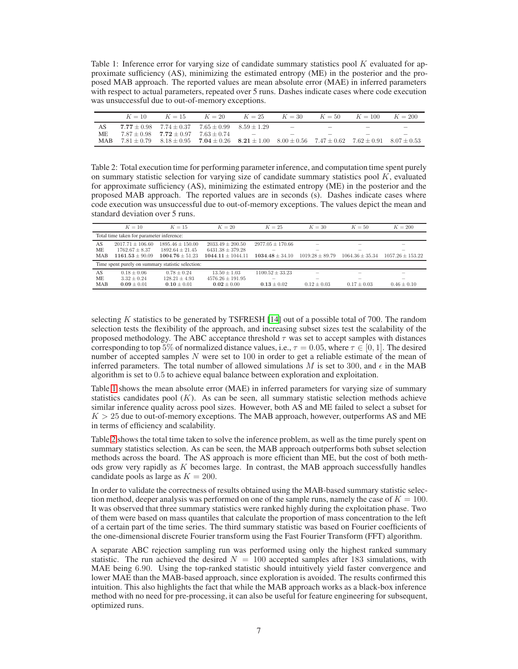<span id="page-6-0"></span>Table 1: Inference error for varying size of candidate summary statistics pool  $K$  evaluated for approximate sufficiency (AS), minimizing the estimated entropy (ME) in the posterior and the proposed MAB approach. The reported values are mean absolute error (MAE) in inferred parameters with respect to actual parameters, repeated over 5 runs. Dashes indicate cases where code execution was unsuccessful due to out-of-memory exceptions.

|     | $K = 10$ | $K = 15$                                                                                                                        | $K = 20$ | $K = 25$      | $K = 30$ $K = 50$               |        | $K = 100$                | $K = 200$                |
|-----|----------|---------------------------------------------------------------------------------------------------------------------------------|----------|---------------|---------------------------------|--------|--------------------------|--------------------------|
|     |          | $7.77 \pm 0.98$ $7.74 \pm 0.37$ $7.65 \pm 0.99$                                                                                 |          | $8.59 + 1.29$ | $\hspace{0.1mm}-\hspace{0.1mm}$ | $\sim$ | $\overline{\phantom{a}}$ | $\overline{\phantom{a}}$ |
|     |          | $7.87 \pm 0.98$ $7.72 \pm 0.97$ $7.63 \pm 0.74$                                                                                 |          | -             | $\sim$                          | $\sim$ | $\sim$                   | $\overline{\phantom{a}}$ |
| MAR |          | $7.81 \pm 0.79$ $8.18 \pm 0.95$ $7.04 \pm 0.26$ $8.21 \pm 1.00$ $8.00 \pm 0.56$ $7.47 \pm 0.62$ $7.62 \pm 0.91$ $8.07 \pm 0.53$ |          |               |                                 |        |                          |                          |

<span id="page-6-1"></span>Table 2: Total execution time for performing parameter inference, and computation time spent purely on summary statistic selection for varying size of candidate summary statistics pool  $K$ , evaluated for approximate sufficiency (AS), minimizing the estimated entropy (ME) in the posterior and the proposed MAB approach. The reported values are in seconds (s). Dashes indicate cases where code execution was unsuccessful due to out-of-memory exceptions. The values depict the mean and standard deviation over 5 runs.

|                                                   | $K = 10$             | $K=15$               | $K = 20$              | $K = 25$             | $K = 30$                 | $K = 50$                 | $K = 200$            |  |  |  |  |
|---------------------------------------------------|----------------------|----------------------|-----------------------|----------------------|--------------------------|--------------------------|----------------------|--|--|--|--|
| Total time taken for parameter inference:         |                      |                      |                       |                      |                          |                          |                      |  |  |  |  |
| AS                                                | $2017.71 \pm 106.60$ | $1895.46 \pm 150.00$ | $2033.49 \pm 200.50$  | $2977.05 \pm 170.66$ | $\overline{\phantom{a}}$ | $\overline{\phantom{a}}$ |                      |  |  |  |  |
| <b>ME</b>                                         | $1762.67 \pm 8.37$   | $1892.64 \pm 21.45$  | $6431.38 \pm 379.28$  |                      |                          |                          |                      |  |  |  |  |
| MAB                                               | $1161.53 \pm 90.09$  | $1004.76 \pm 51.23$  | $1044.11 \pm 1044.11$ | $1034.48 \pm 34.10$  | $1019.28 \pm 89.79$      | $1064.36 \pm 35.34$      | $1057.26 \pm 153.22$ |  |  |  |  |
| Time spent purely on summary statistic selection: |                      |                      |                       |                      |                          |                          |                      |  |  |  |  |
| AS                                                | $0.18 + 0.06$        | $0.78 + 0.24$        | $13.50 \pm 1.03$      | $1100.52 + 33.23$    |                          |                          |                      |  |  |  |  |
| <b>ME</b>                                         | $3.32 \pm 0.24$      | $128.21 \pm 4.93$    | $4576.26 \pm 191.95$  |                      |                          |                          |                      |  |  |  |  |
| <b>MAB</b>                                        | $0.09 \pm 0.01$      | $0.10 \pm 0.01$      | $0.02 \pm 0.00$       | $0.13 \pm 0.02$      | $0.12 \pm 0.03$          | $0.17 \pm 0.03$          | $0.46 \pm 0.10$      |  |  |  |  |

selecting  $K$  statistics to be generated by TSFRESH  $[14]$  out of a possible total of 700. The random selection tests the flexibility of the approach, and increasing subset sizes test the scalability of the proposed methodology. The ABC acceptance threshold  $\tau$  was set to accept samples with distances corresponding to top 5% of normalized distance values, i.e.,  $\tau = 0.05$ , where  $\tau \in [0, 1]$ . The desired number of accepted samples  $N$  were set to 100 in order to get a reliable estimate of the mean of inferred parameters. The total number of allowed simulations M is set to 300, and  $\epsilon$  in the MAB algorithm is set to 0.5 to achieve equal balance between exploration and exploitation.

Table [1](#page-6-0) shows the mean absolute error (MAE) in inferred parameters for varying size of summary statistics candidates pool  $(K)$ . As can be seen, all summary statistic selection methods achieve similar inference quality across pool sizes. However, both AS and ME failed to select a subset for  $K > 25$  due to out-of-memory exceptions. The MAB approach, however, outperforms AS and ME in terms of efficiency and scalability.

Table [2](#page-6-1) shows the total time taken to solve the inference problem, as well as the time purely spent on summary statistics selection. As can be seen, the MAB approach outperforms both subset selection methods across the board. The AS approach is more efficient than ME, but the cost of both methods grow very rapidly as K becomes large. In contrast, the MAB approach successfully handles candidate pools as large as  $K = 200$ .

In order to validate the correctness of results obtained using the MAB-based summary statistic selection method, deeper analysis was performed on one of the sample runs, namely the case of  $K = 100$ . It was observed that three summary statistics were ranked highly during the exploitation phase. Two of them were based on mass quantiles that calculate the proportion of mass concentration to the left of a certain part of the time series. The third summary statistic was based on Fourier coefficients of the one-dimensional discrete Fourier transform using the Fast Fourier Transform (FFT) algorithm.

A separate ABC rejection sampling run was performed using only the highest ranked summary statistic. The run achieved the desired  $N = 100$  accepted samples after 183 simulations, with MAE being 6.90. Using the top-ranked statistic should intuitively yield faster convergence and lower MAE than the MAB-based approach, since exploration is avoided. The results confirmed this intuition. This also highlights the fact that while the MAB approach works as a black-box inference method with no need for pre-processing, it can also be useful for feature engineering for subsequent, optimized runs.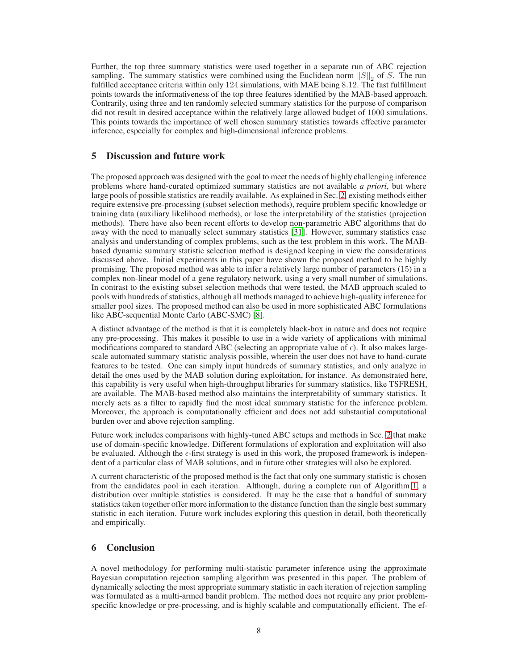Further, the top three summary statistics were used together in a separate run of ABC rejection sampling. The summary statistics were combined using the Euclidean norm  $||S||_2$  of S. The run fulfilled acceptance criteria within only 124 simulations, with MAE being 8.12. The fast fulfillment points towards the informativeness of the top three features identified by the MAB-based approach. Contrarily, using three and ten randomly selected summary statistics for the purpose of comparison did not result in desired acceptance within the relatively large allowed budget of 1000 simulations. This points towards the importance of well chosen summary statistics towards effective parameter inference, especially for complex and high-dimensional inference problems.

# <span id="page-7-0"></span>5 Discussion and future work

The proposed approach was designed with the goal to meet the needs of highly challenging inference problems where hand-curated optimized summary statistics are not available *a priori*, but where large pools of possible statistics are readily available. As explained in Sec. [2,](#page-1-0) existing methods either require extensive pre-processing (subset selection methods), require problem specific knowledge or training data (auxiliary likelihood methods), or lose the interpretability of the statistics (projection methods). There have also been recent efforts to develop non-parametric ABC algorithms that do away with the need to manually select summary statistics [\[31\]](#page-9-17). However, summary statistics ease analysis and understanding of complex problems, such as the test problem in this work. The MABbased dynamic summary statistic selection method is designed keeping in view the considerations discussed above. Initial experiments in this paper have shown the proposed method to be highly promising. The proposed method was able to infer a relatively large number of parameters (15) in a complex non-linear model of a gene regulatory network, using a very small number of simulations. In contrast to the existing subset selection methods that were tested, the MAB approach scaled to pools with hundreds of statistics, although all methods managed to achieve high-quality inference for smaller pool sizes. The proposed method can also be used in more sophisticated ABC formulations like ABC-sequential Monte Carlo (ABC-SMC) [\[8\]](#page-8-16).

A distinct advantage of the method is that it is completely black-box in nature and does not require any pre-processing. This makes it possible to use in a wide variety of applications with minimal modifications compared to standard ABC (selecting an appropriate value of  $\epsilon$ ). It also makes largescale automated summary statistic analysis possible, wherein the user does not have to hand-curate features to be tested. One can simply input hundreds of summary statistics, and only analyze in detail the ones used by the MAB solution during exploitation, for instance. As demonstrated here, this capability is very useful when high-throughput libraries for summary statistics, like TSFRESH, are available. The MAB-based method also maintains the interpretability of summary statistics. It merely acts as a filter to rapidly find the most ideal summary statistic for the inference problem. Moreover, the approach is computationally efficient and does not add substantial computational burden over and above rejection sampling.

Future work includes comparisons with highly-tuned ABC setups and methods in Sec. [2](#page-1-0) that make use of domain-specific knowledge. Different formulations of exploration and exploitation will also be evaluated. Although the  $\epsilon$ -first strategy is used in this work, the proposed framework is independent of a particular class of MAB solutions, and in future other strategies will also be explored.

A current characteristic of the proposed method is the fact that only one summary statistic is chosen from the candidates pool in each iteration. Although, during a complete run of Algorithm [1,](#page-3-1) a distribution over multiple statistics is considered. It may be the case that a handful of summary statistics taken together offer more information to the distance function than the single best summary statistic in each iteration. Future work includes exploring this question in detail, both theoretically and empirically.

# <span id="page-7-1"></span>6 Conclusion

A novel methodology for performing multi-statistic parameter inference using the approximate Bayesian computation rejection sampling algorithm was presented in this paper. The problem of dynamically selecting the most appropriate summary statistic in each iteration of rejection sampling was formulated as a multi-armed bandit problem. The method does not require any prior problemspecific knowledge or pre-processing, and is highly scalable and computationally efficient. The ef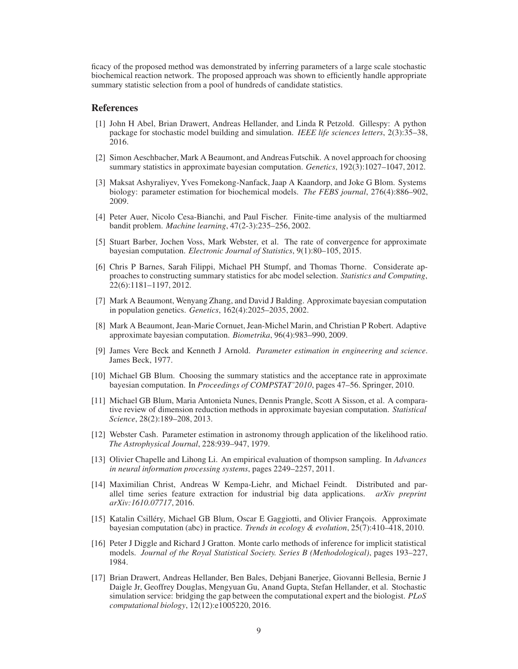ficacy of the proposed method was demonstrated by inferring parameters of a large scale stochastic biochemical reaction network. The proposed approach was shown to efficiently handle appropriate summary statistic selection from a pool of hundreds of candidate statistics.

#### References

- <span id="page-8-14"></span>[1] John H Abel, Brian Drawert, Andreas Hellander, and Linda R Petzold. Gillespy: A python package for stochastic model building and simulation. *IEEE life sciences letters*, 2(3):35–38, 2016.
- <span id="page-8-10"></span>[2] Simon Aeschbacher, Mark A Beaumont, and Andreas Futschik. A novel approach for choosing summary statistics in approximate bayesian computation. *Genetics*, 192(3):1027–1047, 2012.
- <span id="page-8-1"></span>[3] Maksat Ashyraliyev, Yves Fomekong-Nanfack, Jaap A Kaandorp, and Joke G Blom. Systems biology: parameter estimation for biochemical models. *The FEBS journal*, 276(4):886–902, 2009.
- <span id="page-8-11"></span>[4] Peter Auer, Nicolo Cesa-Bianchi, and Paul Fischer. Finite-time analysis of the multiarmed bandit problem. *Machine learning*, 47(2-3):235–256, 2002.
- <span id="page-8-6"></span>[5] Stuart Barber, Jochen Voss, Mark Webster, et al. The rate of convergence for approximate bayesian computation. *Electronic Journal of Statistics*, 9(1):80–105, 2015.
- <span id="page-8-7"></span>[6] Chris P Barnes, Sarah Filippi, Michael PH Stumpf, and Thomas Thorne. Considerate approaches to constructing summary statistics for abc model selection. *Statistics and Computing*, 22(6):1181–1197, 2012.
- <span id="page-8-5"></span>[7] Mark A Beaumont, Wenyang Zhang, and David J Balding. Approximate bayesian computation in population genetics. *Genetics*, 162(4):2025–2035, 2002.
- <span id="page-8-16"></span>[8] Mark A Beaumont, Jean-Marie Cornuet, Jean-Michel Marin, and Christian P Robert. Adaptive approximate bayesian computation. *Biometrika*, 96(4):983–990, 2009.
- <span id="page-8-0"></span>[9] James Vere Beck and Kenneth J Arnold. *Parameter estimation in engineering and science*. James Beck, 1977.
- <span id="page-8-9"></span>[10] Michael GB Blum. Choosing the summary statistics and the acceptance rate in approximate bayesian computation. In *Proceedings of COMPSTAT'2010*, pages 47–56. Springer, 2010.
- <span id="page-8-8"></span>[11] Michael GB Blum, Maria Antonieta Nunes, Dennis Prangle, Scott A Sisson, et al. A comparative review of dimension reduction methods in approximate bayesian computation. *Statistical Science*, 28(2):189–208, 2013.
- <span id="page-8-2"></span>[12] Webster Cash. Parameter estimation in astronomy through application of the likelihood ratio. *The Astrophysical Journal*, 228:939–947, 1979.
- <span id="page-8-12"></span>[13] Olivier Chapelle and Lihong Li. An empirical evaluation of thompson sampling. In *Advances in neural information processing systems*, pages 2249–2257, 2011.
- <span id="page-8-15"></span>[14] Maximilian Christ, Andreas W Kempa-Liehr, and Michael Feindt. Distributed and parallel time series feature extraction for industrial big data applications. *arXiv preprint arXiv:1610.07717*, 2016.
- <span id="page-8-4"></span>[15] Katalin Csilléry, Michael GB Blum, Oscar E Gaggiotti, and Olivier François. Approximate bayesian computation (abc) in practice. *Trends in ecology & evolution*, 25(7):410–418, 2010.
- <span id="page-8-3"></span>[16] Peter J Diggle and Richard J Gratton. Monte carlo methods of inference for implicit statistical models. *Journal of the Royal Statistical Society. Series B (Methodological)*, pages 193–227, 1984.
- <span id="page-8-13"></span>[17] Brian Drawert, Andreas Hellander, Ben Bales, Debjani Banerjee, Giovanni Bellesia, Bernie J Daigle Jr, Geoffrey Douglas, Mengyuan Gu, Anand Gupta, Stefan Hellander, et al. Stochastic simulation service: bridging the gap between the computational expert and the biologist. *PLoS computational biology*, 12(12):e1005220, 2016.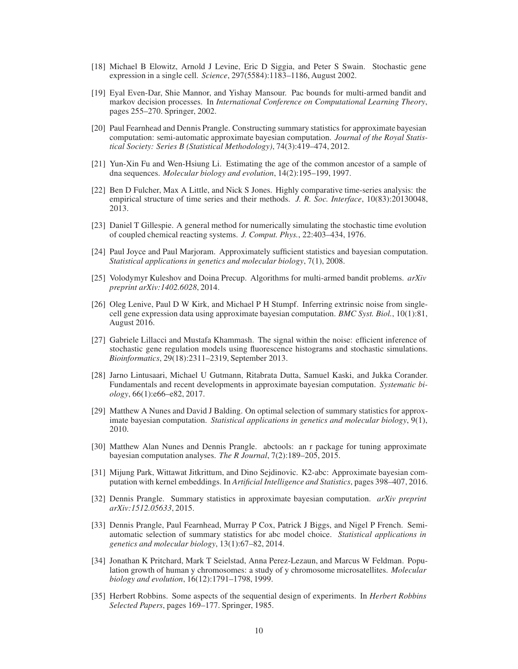- <span id="page-9-0"></span>[18] Michael B Elowitz, Arnold J Levine, Eric D Siggia, and Peter S Swain. Stochastic gene expression in a single cell. *Science*, 297(5584):1183–1186, August 2002.
- <span id="page-9-12"></span>[19] Eyal Even-Dar, Shie Mannor, and Yishay Mansour. Pac bounds for multi-armed bandit and markov decision processes. In *International Conference on Computational Learning Theory*, pages 255–270. Springer, 2002.
- <span id="page-9-5"></span>[20] Paul Fearnhead and Dennis Prangle. Constructing summary statistics for approximate bayesian computation: semi-automatic approximate bayesian computation. *Journal of the Royal Statistical Society: Series B (Statistical Methodology)*, 74(3):419–474, 2012.
- <span id="page-9-9"></span>[21] Yun-Xin Fu and Wen-Hsiung Li. Estimating the age of the common ancestor of a sample of dna sequences. *Molecular biology and evolution*, 14(2):195–199, 1997.
- <span id="page-9-1"></span>[22] Ben D Fulcher, Max A Little, and Nick S Jones. Highly comparative time-series analysis: the empirical structure of time series and their methods. *J. R. Soc. Interface*, 10(83):20130048, 2013.
- <span id="page-9-13"></span>[23] Daniel T Gillespie. A general method for numerically simulating the stochastic time evolution of coupled chemical reacting systems. *J. Comput. Phys.*, 22:403–434, 1976.
- <span id="page-9-8"></span>[24] Paul Joyce and Paul Marjoram. Approximately sufficient statistics and bayesian computation. *Statistical applications in genetics and molecular biology*, 7(1), 2008.
- <span id="page-9-11"></span>[25] Volodymyr Kuleshov and Doina Precup. Algorithms for multi-armed bandit problems. *arXiv preprint arXiv:1402.6028*, 2014.
- <span id="page-9-15"></span>[26] Oleg Lenive, Paul D W Kirk, and Michael P H Stumpf. Inferring extrinsic noise from singlecell gene expression data using approximate bayesian computation. *BMC Syst. Biol.*, 10(1):81, August 2016.
- <span id="page-9-14"></span>[27] Gabriele Lillacci and Mustafa Khammash. The signal within the noise: efficient inference of stochastic gene regulation models using fluorescence histograms and stochastic simulations. *Bioinformatics*, 29(18):2311–2319, September 2013.
- <span id="page-9-3"></span>[28] Jarno Lintusaari, Michael U Gutmann, Ritabrata Dutta, Samuel Kaski, and Jukka Corander. Fundamentals and recent developments in approximate bayesian computation. *Systematic biology*, 66(1):e66–e82, 2017.
- <span id="page-9-6"></span>[29] Matthew A Nunes and David J Balding. On optimal selection of summary statistics for approximate bayesian computation. *Statistical applications in genetics and molecular biology*, 9(1), 2010.
- <span id="page-9-16"></span>[30] Matthew Alan Nunes and Dennis Prangle. abctools: an r package for tuning approximate bayesian computation analyses. *The R Journal*, 7(2):189–205, 2015.
- <span id="page-9-17"></span>[31] Mijung Park, Wittawat Jitkrittum, and Dino Sejdinovic. K2-abc: Approximate bayesian computation with kernel embeddings. In *Artificial Intelligence and Statistics*, pages 398–407, 2016.
- <span id="page-9-2"></span>[32] Dennis Prangle. Summary statistics in approximate bayesian computation. *arXiv preprint arXiv:1512.05633*, 2015.
- <span id="page-9-7"></span>[33] Dennis Prangle, Paul Fearnhead, Murray P Cox, Patrick J Biggs, and Nigel P French. Semiautomatic selection of summary statistics for abc model choice. *Statistical applications in genetics and molecular biology*, 13(1):67–82, 2014.
- <span id="page-9-4"></span>[34] Jonathan K Pritchard, Mark T Seielstad, Anna Perez-Lezaun, and Marcus W Feldman. Population growth of human y chromosomes: a study of y chromosome microsatellites. *Molecular biology and evolution*, 16(12):1791–1798, 1999.
- <span id="page-9-10"></span>[35] Herbert Robbins. Some aspects of the sequential design of experiments. In *Herbert Robbins Selected Papers*, pages 169–177. Springer, 1985.